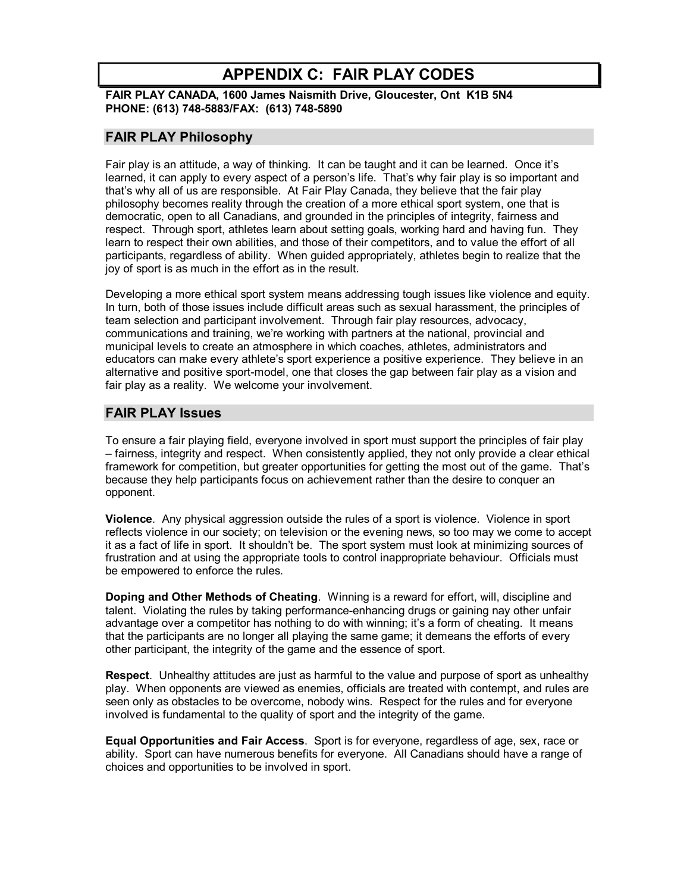# **APPENDIX C: FAIR PLAY CODES**

**FAIR PLAY CANADA, 1600 James Naismith Drive, Gloucester, Ont K1B 5N4 PHONE: (613) 7485883/FAX: (613) 7485890**

### **FAIR PLAY Philosophy**

Fair play is an attitude, a way of thinking. It can be taught and it can be learned. Once it's learned, it can apply to every aspect of a person's life. That's why fair play is so important and that's why all of us are responsible. At Fair Play Canada, they believe that the fair play philosophy becomes reality through the creation of a more ethical sport system, one that is democratic, open to all Canadians, and grounded in the principles of integrity, fairness and respect. Through sport, athletes learn about setting goals, working hard and having fun. They learn to respect their own abilities, and those of their competitors, and to value the effort of all participants, regardless of ability. When guided appropriately, athletes begin to realize that the joy of sport is as much in the effort as in the result.

Developing a more ethical sport system means addressing tough issues like violence and equity. In turn, both of those issues include difficult areas such as sexual harassment, the principles of team selection and participant involvement. Through fair play resources, advocacy, communications and training, we're working with partners at the national, provincial and municipal levels to create an atmosphere in which coaches, athletes, administrators and educators can make every athlete's sport experience a positive experience. They believe in an alternative and positive sport-model, one that closes the gap between fair play as a vision and fair play as a reality. We welcome your involvement.

### **FAIR PLAY Issues**

To ensure a fair playing field, everyone involved in sport must support the principles of fair play – fairness, integrity and respect. When consistently applied, they not only provide a clear ethical framework for competition, but greater opportunities for getting the most out of the game. That's because they help participants focus on achievement rather than the desire to conquer an opponent.

**Violence**. Any physical aggression outside the rules of a sport is violence. Violence in sport reflects violence in our society; on television or the evening news, so too may we come to accept it as a fact of life in sport. It shouldn't be. The sport system must look at minimizing sources of frustration and at using the appropriate tools to control inappropriate behaviour. Officials must be empowered to enforce the rules.

**Doping and Other Methods of Cheating**. Winning is a reward for effort, will, discipline and talent. Violating the rules by taking performance-enhancing drugs or gaining nay other unfair advantage over a competitor has nothing to do with winning; it's a form of cheating. It means that the participants are no longer all playing the same game; it demeans the efforts of every other participant, the integrity of the game and the essence of sport.

**Respect**. Unhealthy attitudes are just as harmful to the value and purpose of sport as unhealthy play. When opponents are viewed as enemies, officials are treated with contempt, and rules are seen only as obstacles to be overcome, nobody wins. Respect for the rules and for everyone involved is fundamental to the quality of sport and the integrity of the game.

**Equal Opportunities and Fair Access**. Sport is for everyone, regardless of age, sex, race or ability. Sport can have numerous benefits for everyone. All Canadians should have a range of choices and opportunities to be involved in sport.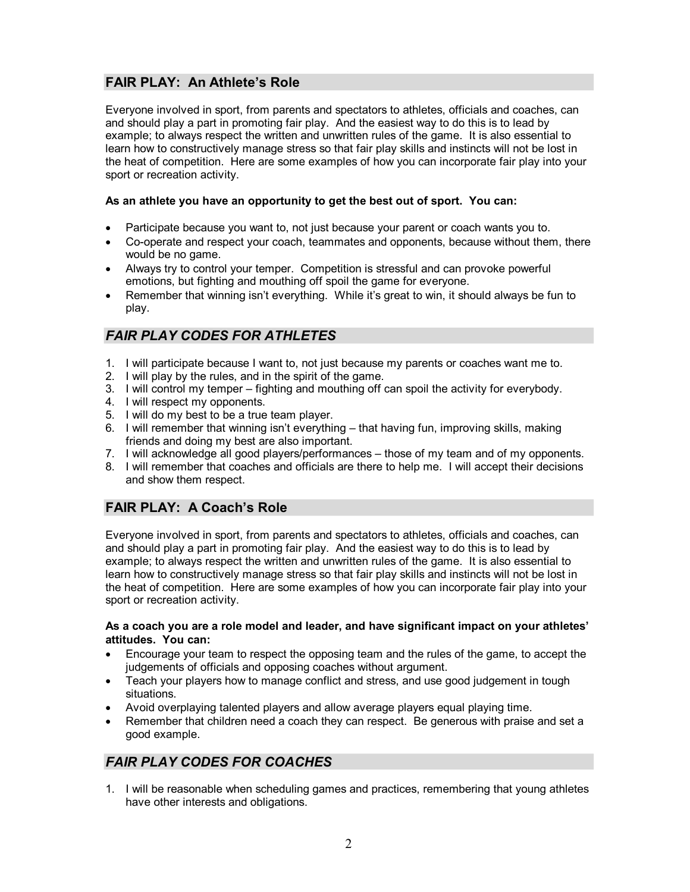### **FAIR PLAY: An Athlete's Role**

Everyone involved in sport, from parents and spectators to athletes, officials and coaches, can and should play a part in promoting fair play. And the easiest way to do this is to lead by example; to always respect the written and unwritten rules of the game. It is also essential to learn how to constructively manage stress so that fair play skills and instincts will not be lost in the heat of competition. Here are some examples of how you can incorporate fair play into your sport or recreation activity.

#### **As an athlete you have an opportunity to get the best out of sport. You can:**

- Participate because you want to, not just because your parent or coach wants you to.
- Co-operate and respect your coach, teammates and opponents, because without them, there would be no game.
- · Always try to control your temper. Competition is stressful and can provoke powerful emotions, but fighting and mouthing off spoil the game for everyone.
- Remember that winning isn't everything. While it's great to win, it should always be fun to play.

## *FAIR PLAY CODES FOR ATHLETES*

- 1. I will participate because I want to, not just because my parents or coaches want me to.
- 2. I will play by the rules, and in the spirit of the game.
- 3. I will control my temper fighting and mouthing off can spoil the activity for everybody.
- 4. I will respect my opponents.
- 5. I will do my best to be a true team player.
- 6. I will remember that winning isn't everything that having fun, improving skills, making friends and doing my best are also important.
- 7. I will acknowledge all good players/performances those of my team and of my opponents.
- 8. I will remember that coaches and officials are there to help me. I will accept their decisions and show them respect.

### **FAIR PLAY: A Coach's Role**

Everyone involved in sport, from parents and spectators to athletes, officials and coaches, can and should play a part in promoting fair play. And the easiest way to do this is to lead by example; to always respect the written and unwritten rules of the game. It is also essential to learn how to constructively manage stress so that fair play skills and instincts will not be lost in the heat of competition. Here are some examples of how you can incorporate fair play into your sport or recreation activity.

#### **As a coach you are a role model and leader, and have significant impact on your athletes' attitudes. You can:**

- · Encourage your team to respect the opposing team and the rules of the game, to accept the judgements of officials and opposing coaches without argument.
- · Teach your players how to manage conflict and stress, and use good judgement in tough situations.
- · Avoid overplaying talented players and allow average players equal playing time.
- Remember that children need a coach they can respect. Be generous with praise and set a good example.

## *FAIR PLAY CODES FOR COACHES*

1. I will be reasonable when scheduling games and practices, remembering that young athletes have other interests and obligations.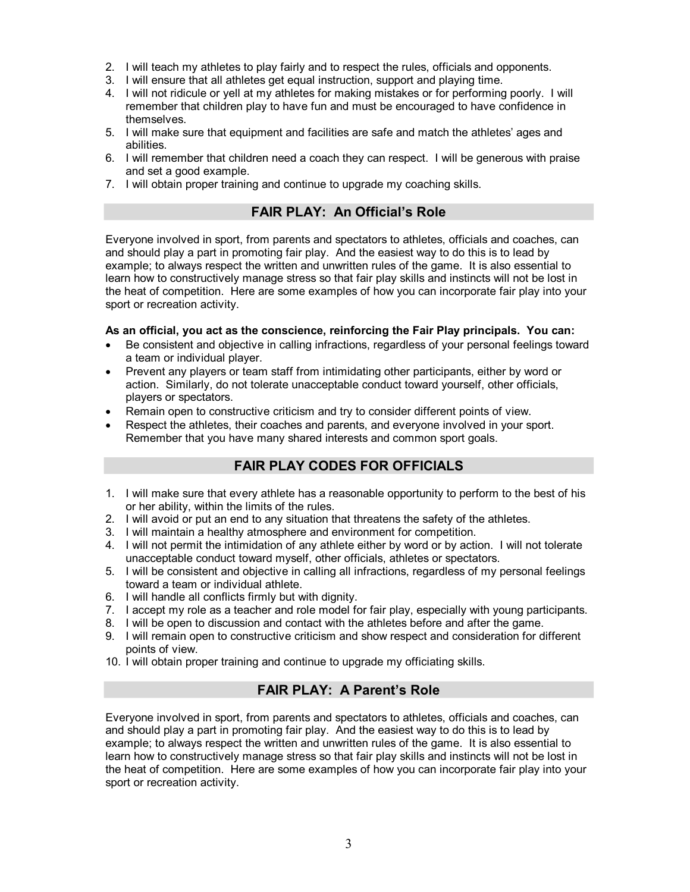- 2. I will teach my athletes to play fairly and to respect the rules, officials and opponents.
- 3. I will ensure that all athletes get equal instruction, support and playing time.
- 4. I will not ridicule or yell at my athletes for making mistakes or for performing poorly. I will remember that children play to have fun and must be encouraged to have confidence in themselves.
- 5. I will make sure that equipment and facilities are safe and match the athletes' ages and abilities.
- 6. I will remember that children need a coach they can respect. I will be generous with praise and set a good example.
- 7. I will obtain proper training and continue to upgrade my coaching skills.

### **FAIR PLAY: An Official's Role**

Everyone involved in sport, from parents and spectators to athletes, officials and coaches, can and should play a part in promoting fair play. And the easiest way to do this is to lead by example; to always respect the written and unwritten rules of the game. It is also essential to learn how to constructively manage stress so that fair play skills and instincts will not be lost in the heat of competition. Here are some examples of how you can incorporate fair play into your sport or recreation activity.

#### **As an official, you act as the conscience, reinforcing the Fair Play principals. You can:**

- · Be consistent and objective in calling infractions, regardless of your personal feelings toward a team or individual player.
- · Prevent any players or team staff from intimidating other participants, either by word or action. Similarly, do not tolerate unacceptable conduct toward yourself, other officials, players or spectators.
- Remain open to constructive criticism and try to consider different points of view.
- Respect the athletes, their coaches and parents, and everyone involved in your sport. Remember that you have many shared interests and common sport goals.

### **FAIR PLAY CODES FOR OFFICIALS**

- 1. I will make sure that every athlete has a reasonable opportunity to perform to the best of his or her ability, within the limits of the rules.
- 2. I will avoid or put an end to any situation that threatens the safety of the athletes.
- 3. I will maintain a healthy atmosphere and environment for competition.
- 4. I will not permit the intimidation of any athlete either by word or by action. I will not tolerate unacceptable conduct toward myself, other officials, athletes or spectators.
- 5. I will be consistent and objective in calling all infractions, regardless of my personal feelings toward a team or individual athlete.
- 6. I will handle all conflicts firmly but with dignity.
- 7. I accept my role as a teacher and role model for fair play, especially with young participants.
- 8. I will be open to discussion and contact with the athletes before and after the game.
- 9. I will remain open to constructive criticism and show respect and consideration for different points of view.
- 10. I will obtain proper training and continue to upgrade my officiating skills.

## **FAIR PLAY: A Parent's Role**

Everyone involved in sport, from parents and spectators to athletes, officials and coaches, can and should play a part in promoting fair play. And the easiest way to do this is to lead by example; to always respect the written and unwritten rules of the game. It is also essential to learn how to constructively manage stress so that fair play skills and instincts will not be lost in the heat of competition. Here are some examples of how you can incorporate fair play into your sport or recreation activity.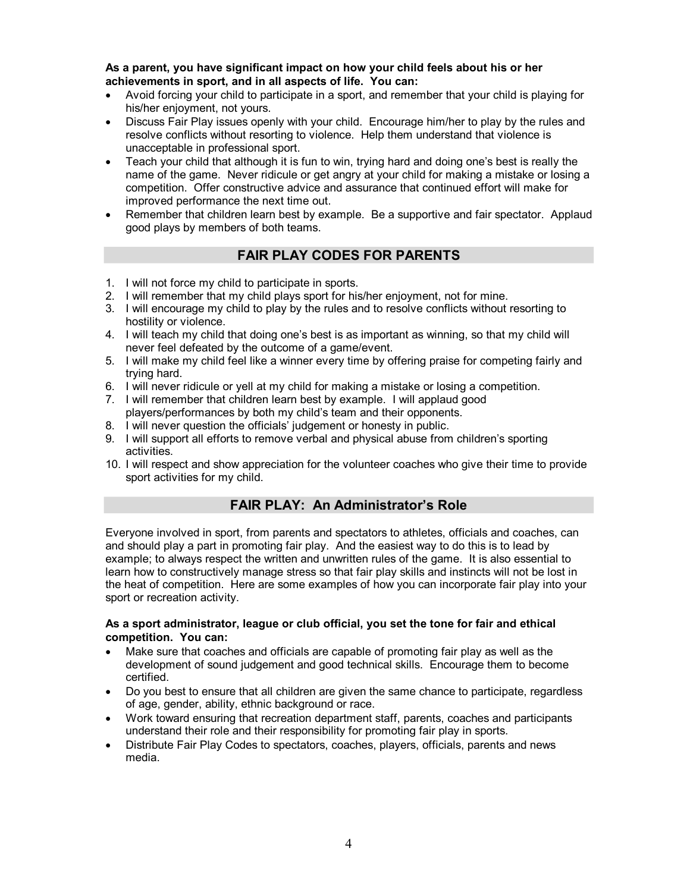**As a parent, you have significant impact on how your child feels about his or her achievements in sport, and in all aspects of life. You can:**

- · Avoid forcing your child to participate in a sport, and remember that your child is playing for his/her enjoyment, not yours.
- · Discuss Fair Play issues openly with your child. Encourage him/her to play by the rules and resolve conflicts without resorting to violence. Help them understand that violence is unacceptable in professional sport.
- · Teach your child that although it is fun to win, trying hard and doing one's best is really the name of the game. Never ridicule or get angry at your child for making a mistake or losing a competition. Offer constructive advice and assurance that continued effort will make for improved performance the next time out.
- Remember that children learn best by example. Be a supportive and fair spectator. Applaud good plays by members of both teams.

## **FAIR PLAY CODES FOR PARENTS**

- 1. I will not force my child to participate in sports.
- 2. I will remember that my child plays sport for his/her enjoyment, not for mine.
- 3. I will encourage my child to play by the rules and to resolve conflicts without resorting to hostility or violence.
- 4. I will teach my child that doing one's best is as important as winning, so that my child will never feel defeated by the outcome of a game/event.
- 5. I will make my child feel like a winner every time by offering praise for competing fairly and trying hard.
- 6. I will never ridicule or yell at my child for making a mistake or losing a competition.
- 7. I will remember that children learn best by example. I will applaud good
- players/performances by both my child's team and their opponents.
- 8. I will never question the officials' judgement or honesty in public.
- 9. I will support all efforts to remove verbal and physical abuse from children's sporting activities.
- 10. I will respect and show appreciation for the volunteer coaches who give their time to provide sport activities for my child.

### **FAIR PLAY: An Administrator's Role**

Everyone involved in sport, from parents and spectators to athletes, officials and coaches, can and should play a part in promoting fair play. And the easiest way to do this is to lead by example; to always respect the written and unwritten rules of the game. It is also essential to learn how to constructively manage stress so that fair play skills and instincts will not be lost in the heat of competition. Here are some examples of how you can incorporate fair play into your sport or recreation activity.

#### **As a sport administrator, league or club official, you set the tone for fair and ethical competition. You can:**

- Make sure that coaches and officials are capable of promoting fair play as well as the development of sound judgement and good technical skills. Encourage them to become certified.
- · Do you best to ensure that all children are given the same chance to participate, regardless of age, gender, ability, ethnic background or race.
- · Work toward ensuring that recreation department staff, parents, coaches and participants understand their role and their responsibility for promoting fair play in sports.
- · Distribute Fair Play Codes to spectators, coaches, players, officials, parents and news media.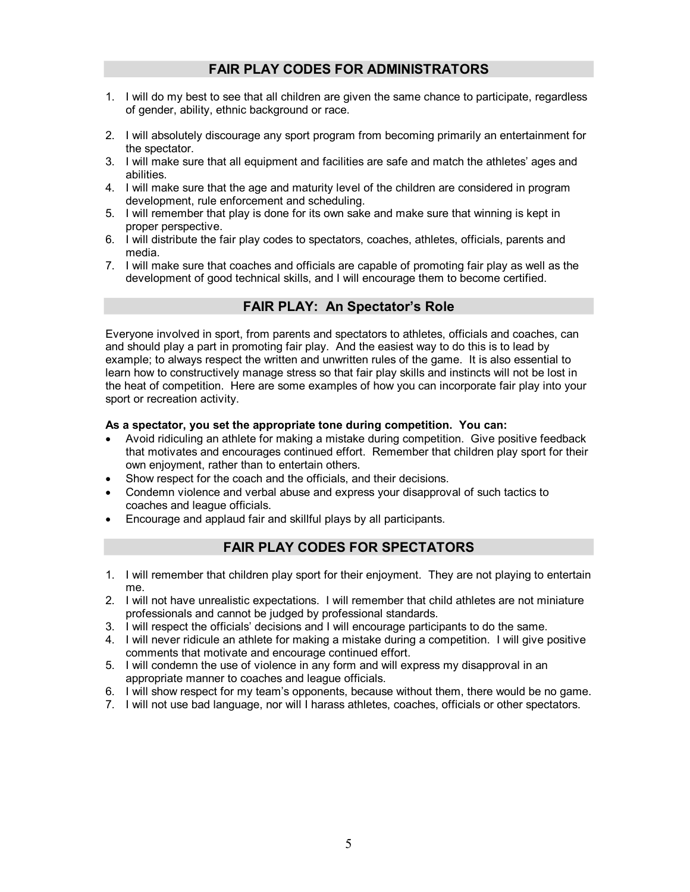## **FAIR PLAY CODES FOR ADMINISTRATORS**

- 1. I will do my best to see that all children are given the same chance to participate, regardless of gender, ability, ethnic background or race.
- 2. I will absolutely discourage any sport program from becoming primarily an entertainment for the spectator.
- 3. I will make sure that all equipment and facilities are safe and match the athletes' ages and abilities.
- 4. I will make sure that the age and maturity level of the children are considered in program development, rule enforcement and scheduling.
- 5. I will remember that play is done for its own sake and make sure that winning is kept in proper perspective.
- 6. I will distribute the fair play codes to spectators, coaches, athletes, officials, parents and media.
- 7. I will make sure that coaches and officials are capable of promoting fair play as well as the development of good technical skills, and I will encourage them to become certified.

## **FAIR PLAY: An Spectator's Role**

Everyone involved in sport, from parents and spectators to athletes, officials and coaches, can and should play a part in promoting fair play. And the easiest way to do this is to lead by example; to always respect the written and unwritten rules of the game. It is also essential to learn how to constructively manage stress so that fair play skills and instincts will not be lost in the heat of competition. Here are some examples of how you can incorporate fair play into your sport or recreation activity.

#### **As a spectator, you set the appropriate tone during competition. You can:**

- · Avoid ridiculing an athlete for making a mistake during competition. Give positive feedback that motivates and encourages continued effort. Remember that children play sport for their own enjoyment, rather than to entertain others.
- Show respect for the coach and the officials, and their decisions.
- · Condemn violence and verbal abuse and express your disapproval of such tactics to coaches and league officials.
- Encourage and applaud fair and skillful plays by all participants.

### **FAIR PLAY CODES FOR SPECTATORS**

- 1. I will remember that children play sport for their enjoyment. They are not playing to entertain me.
- 2. I will not have unrealistic expectations. I will remember that child athletes are not miniature professionals and cannot be judged by professional standards.
- 3. I will respect the officials' decisions and I will encourage participants to do the same.
- 4. I will never ridicule an athlete for making a mistake during a competition. I will give positive comments that motivate and encourage continued effort.
- 5. I will condemn the use of violence in any form and will express my disapproval in an appropriate manner to coaches and league officials.
- 6. I will show respect for my team's opponents, because without them, there would be no game.
- 7. I will not use bad language, nor will I harass athletes, coaches, officials or other spectators.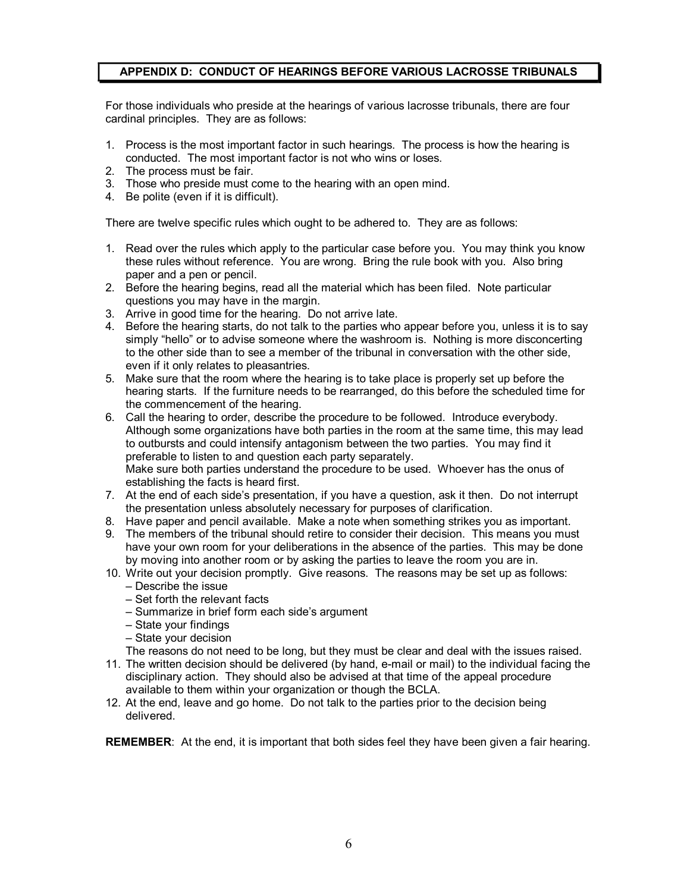### **APPENDIX D: CONDUCT OF HEARINGS BEFORE VARIOUS LACROSSE TRIBUNALS**

For those individuals who preside at the hearings of various lacrosse tribunals, there are four cardinal principles. They are as follows:

- 1. Process is the most important factor in such hearings. The process is how the hearing is conducted. The most important factor is not who wins or loses.
- 2. The process must be fair.
- 3. Those who preside must come to the hearing with an open mind.
- 4. Be polite (even if it is difficult).

There are twelve specific rules which ought to be adhered to. They are as follows:

- 1. Read over the rules which apply to the particular case before you. You may think you know these rules without reference. You are wrong. Bring the rule book with you. Also bring paper and a pen or pencil.
- 2. Before the hearing begins, read all the material which has been filed. Note particular questions you may have in the margin.
- 3. Arrive in good time for the hearing. Do not arrive late.
- 4. Before the hearing starts, do not talk to the parties who appear before you, unless it is to say simply "hello" or to advise someone where the washroom is. Nothing is more disconcerting to the other side than to see a member of the tribunal in conversation with the other side, even if it only relates to pleasantries.
- 5. Make sure that the room where the hearing is to take place is properly set up before the hearing starts. If the furniture needs to be rearranged, do this before the scheduled time for the commencement of the hearing.
- 6. Call the hearing to order, describe the procedure to be followed. Introduce everybody. Although some organizations have both parties in the room at the same time, this may lead to outbursts and could intensify antagonism between the two parties. You may find it preferable to listen to and question each party separately. Make sure both parties understand the procedure to be used. Whoever has the onus of establishing the facts is heard first.
- 7. At the end of each side's presentation, if you have a question, ask it then. Do not interrupt the presentation unless absolutely necessary for purposes of clarification.
- 8. Have paper and pencil available. Make a note when something strikes you as important.
- 9. The members of the tribunal should retire to consider their decision. This means you must have your own room for your deliberations in the absence of the parties. This may be done by moving into another room or by asking the parties to leave the room you are in.
- 10. Write out your decision promptly. Give reasons. The reasons may be set up as follows: – Describe the issue
	- Set forth the relevant facts
	- Summarize in brief form each side's argument
	- State your findings
	- State your decision

The reasons do not need to be long, but they must be clear and deal with the issues raised.

- 11. The written decision should be delivered (by hand, e-mail or mail) to the individual facing the disciplinary action. They should also be advised at that time of the appeal procedure available to them within your organization or though the BCLA.
- 12. At the end, leave and go home. Do not talk to the parties prior to the decision being delivered.

**REMEMBER**: At the end, it is important that both sides feel they have been given a fair hearing.